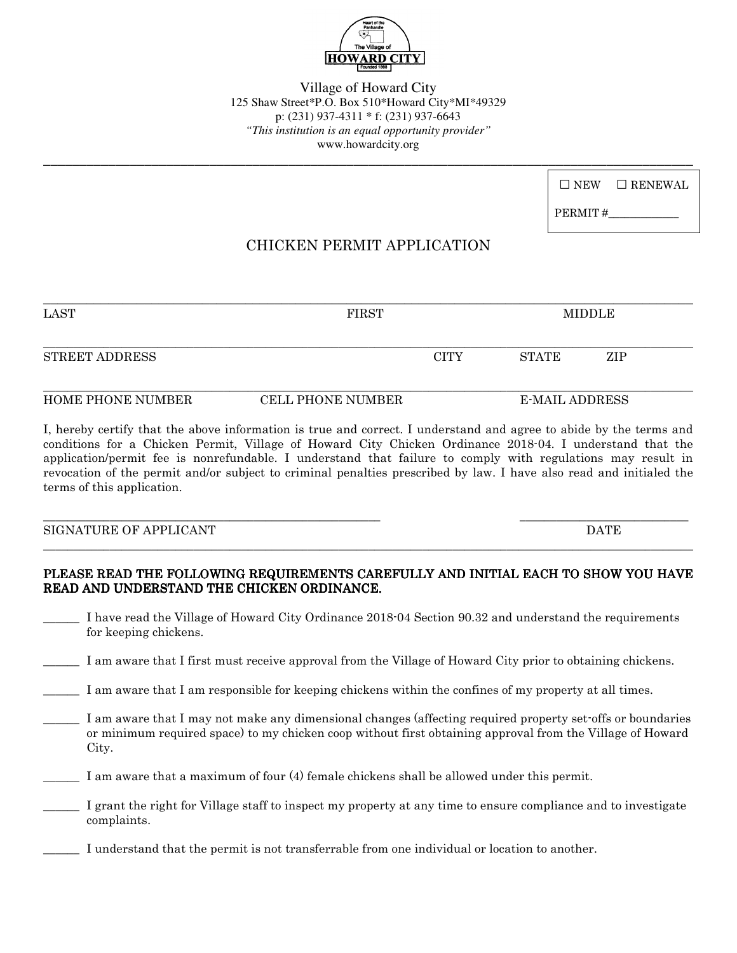

Village of Howard City 125 Shaw Street\*P.O. Box 510\*Howard City\*MI\*49329 p: (231) 937-4311 \* f: (231) 937-6643 *"This institution is an equal opportunity provider"* www.howardcity.org

**\_\_\_\_\_\_\_\_\_\_\_\_\_\_\_\_\_\_\_\_\_\_\_\_\_\_\_\_\_\_\_\_\_\_\_\_\_\_\_\_\_\_\_\_\_\_\_\_\_\_\_\_\_\_\_\_\_\_\_\_\_\_\_\_\_\_\_\_\_\_\_\_\_\_\_\_\_\_\_\_\_\_\_\_\_\_\_\_\_\_**

| $\Box$ NEW $\Box$ RENEWAL |
|---------------------------|
|                           |

PERMIT#

# CHICKEN PERMIT APPLICATION

| <b>LAST</b>               | <b>FIRST</b>      |             | MIDDLE         |     |  |
|---------------------------|-------------------|-------------|----------------|-----|--|
| <b>STREET ADDRESS</b>     |                   | <b>CITY</b> | STATE          | ZIP |  |
| <b>HOME PHONE NIIMBER</b> | CELL PHONE NUMBER |             | E-MAIL ADDRESS |     |  |

I, hereby certify that the above information is true and correct. I understand and agree to abide by the terms and conditions for a Chicken Permit, Village of Howard City Chicken Ordinance 2018-04. I understand that the application/permit fee is nonrefundable. I understand that failure to comply with regulations may result in revocation of the permit and/or subject to criminal penalties prescribed by law. I have also read and initialed the terms of this application.

\_\_\_\_\_\_\_\_\_\_\_\_\_\_\_\_\_\_\_\_\_\_\_\_\_\_\_\_\_\_\_\_\_\_\_\_\_\_\_\_\_\_\_\_\_\_\_\_\_\_\_\_\_\_\_\_ \_\_\_\_\_\_\_\_\_\_\_\_\_\_\_\_\_\_\_\_\_\_\_\_\_\_\_\_

SIGNATURE OF APPLICANT DATE

#### PLEASE READ THE FOLLOWING REQUIREMENTS CAREFULLY AND INITIAL EACH TO SHOW YOU HAVE READ AND UNDERSTAND THE CHICKEN ORDINANCE.

 $\Box \rightarrow \Box \rightarrow \Box$ 

- I have read the Village of Howard City Ordinance 2018-04 Section 90.32 and understand the requirements for keeping chickens.
- \_\_\_\_\_\_ I am aware that I first must receive approval from the Village of Howard City prior to obtaining chickens.
- I am aware that I am responsible for keeping chickens within the confines of my property at all times.
- I am aware that I may not make any dimensional changes (affecting required property set-offs or boundaries or minimum required space) to my chicken coop without first obtaining approval from the Village of Howard City.
- I am aware that a maximum of four (4) female chickens shall be allowed under this permit.
- I grant the right for Village staff to inspect my property at any time to ensure compliance and to investigate complaints.

I understand that the permit is not transferrable from one individual or location to another.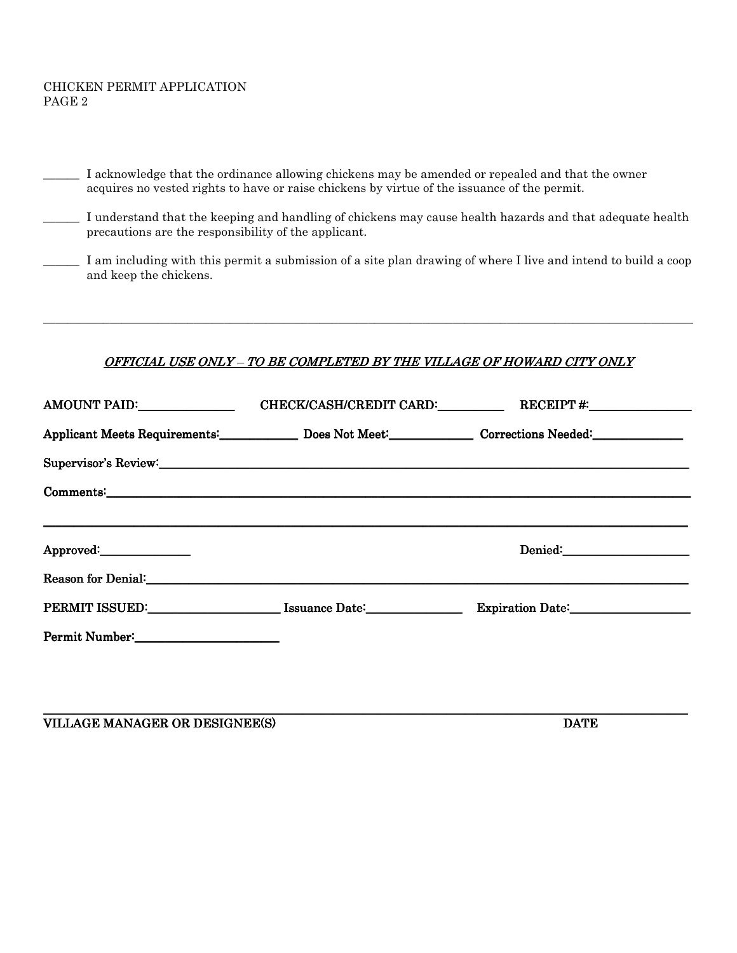#### CHICKEN PERMIT APPLICATION PAGE 2

| I acknowledge that the ordinance allowing chickens may be amended or repealed and that the owner<br>acquires no vested rights to have or raise chickens by virtue of the issuance of the permit.                               |  |                                                                                                                                                                                                                                |  |  |  |  |
|--------------------------------------------------------------------------------------------------------------------------------------------------------------------------------------------------------------------------------|--|--------------------------------------------------------------------------------------------------------------------------------------------------------------------------------------------------------------------------------|--|--|--|--|
| I understand that the keeping and handling of chickens may cause health hazards and that adequate health<br>precautions are the responsibility of the applicant.                                                               |  |                                                                                                                                                                                                                                |  |  |  |  |
| I am including with this permit a submission of a site plan drawing of where I live and intend to build a coop<br>and keep the chickens.                                                                                       |  |                                                                                                                                                                                                                                |  |  |  |  |
|                                                                                                                                                                                                                                |  |                                                                                                                                                                                                                                |  |  |  |  |
| OFFICIAL USE ONLY - TO BE COMPLETED BY THE VILLAGE OF HOWARD CITY ONLY                                                                                                                                                         |  |                                                                                                                                                                                                                                |  |  |  |  |
|                                                                                                                                                                                                                                |  | AMOUNT PAID:___________________________CHECK/CASH/CREDIT CARD:______________RECEIPT #:______________                                                                                                                           |  |  |  |  |
|                                                                                                                                                                                                                                |  | Applicant Meets Requirements: Does Not Meet: Corrections Needed: Corrections Needed:                                                                                                                                           |  |  |  |  |
| Supervisor's Review: Note of the contract of the contract of the contract of the contract of the contract of the contract of the contract of the contract of the contract of the contract of the contract of the contract of t |  |                                                                                                                                                                                                                                |  |  |  |  |
|                                                                                                                                                                                                                                |  |                                                                                                                                                                                                                                |  |  |  |  |
|                                                                                                                                                                                                                                |  |                                                                                                                                                                                                                                |  |  |  |  |
| Approved:                                                                                                                                                                                                                      |  | Denied: National Contract of the Contract of the Contract of the Contract of the Contract of the Contract of the Contract of the Contract of the Contract of the Contract of the Contract of the Contract of the Contract of t |  |  |  |  |
| Reason for Denial: New York Changes and Security Changes and Security Changes and Security Changes and Security Changes and Security Changes and Security Changes and Security Changes and Security Changes and Security Chang |  |                                                                                                                                                                                                                                |  |  |  |  |
| PERMIT ISSUED: Issuance Date: 1990                                                                                                                                                                                             |  |                                                                                                                                                                                                                                |  |  |  |  |
|                                                                                                                                                                                                                                |  |                                                                                                                                                                                                                                |  |  |  |  |
|                                                                                                                                                                                                                                |  |                                                                                                                                                                                                                                |  |  |  |  |
|                                                                                                                                                                                                                                |  |                                                                                                                                                                                                                                |  |  |  |  |

\_\_\_\_\_\_\_\_\_\_\_\_\_\_\_\_\_\_\_\_\_\_\_\_\_\_\_\_\_\_\_\_\_\_\_\_\_\_\_\_\_\_\_\_\_\_\_\_\_\_\_\_\_\_\_\_\_\_\_\_\_\_\_\_\_\_\_\_\_\_\_\_\_\_\_\_\_\_\_\_\_\_\_\_\_\_\_\_\_\_\_\_\_\_\_\_\_\_\_\_\_\_\_\_\_\_\_

VILLAGE MANAGER OR DESIGNEE(S) DATE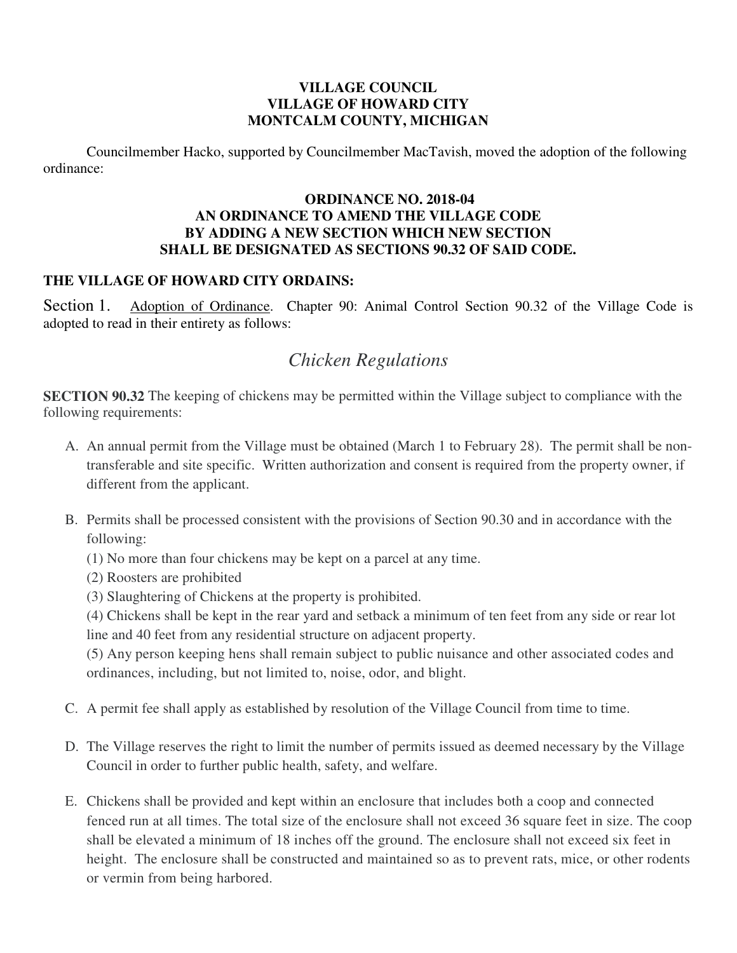## **VILLAGE COUNCIL VILLAGE OF HOWARD CITY MONTCALM COUNTY, MICHIGAN**

Councilmember Hacko, supported by Councilmember MacTavish, moved the adoption of the following ordinance:

### **ORDINANCE NO. 2018-04 AN ORDINANCE TO AMEND THE VILLAGE CODE BY ADDING A NEW SECTION WHICH NEW SECTION SHALL BE DESIGNATED AS SECTIONS 90.32 OF SAID CODE.**

## **THE VILLAGE OF HOWARD CITY ORDAINS:**

Section 1. Adoption of Ordinance. Chapter 90: Animal Control Section 90.32 of the Village Code is adopted to read in their entirety as follows:

# *Chicken Regulations*

**SECTION 90.32** The keeping of chickens may be permitted within the Village subject to compliance with the following requirements:

- A. An annual permit from the Village must be obtained (March 1 to February 28). The permit shall be nontransferable and site specific. Written authorization and consent is required from the property owner, if different from the applicant.
- B. Permits shall be processed consistent with the provisions of Section 90.30 and in accordance with the following:
	- (1) No more than four chickens may be kept on a parcel at any time.
	- (2) Roosters are prohibited
	- (3) Slaughtering of Chickens at the property is prohibited.

(4) Chickens shall be kept in the rear yard and setback a minimum of ten feet from any side or rear lot line and 40 feet from any residential structure on adjacent property.

(5) Any person keeping hens shall remain subject to public nuisance and other associated codes and ordinances, including, but not limited to, noise, odor, and blight.

- C. A permit fee shall apply as established by resolution of the Village Council from time to time.
- D. The Village reserves the right to limit the number of permits issued as deemed necessary by the Village Council in order to further public health, safety, and welfare.
- E. Chickens shall be provided and kept within an enclosure that includes both a coop and connected fenced run at all times. The total size of the enclosure shall not exceed 36 square feet in size. The coop shall be elevated a minimum of 18 inches off the ground. The enclosure shall not exceed six feet in height. The enclosure shall be constructed and maintained so as to prevent rats, mice, or other rodents or vermin from being harbored.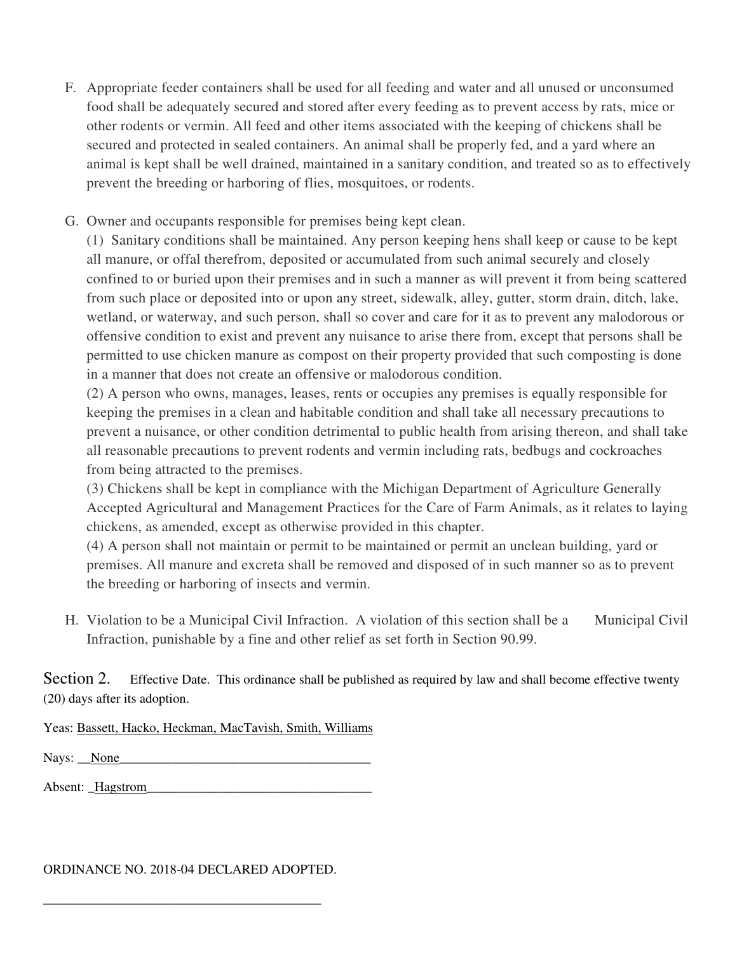- F. Appropriate feeder containers shall be used for all feeding and water and all unused or unconsumed food shall be adequately secured and stored after every feeding as to prevent access by rats, mice or other rodents or vermin. All feed and other items associated with the keeping of chickens shall be secured and protected in sealed containers. An animal shall be properly fed, and a yard where an animal is kept shall be well drained, maintained in a sanitary condition, and treated so as to effectively prevent the breeding or harboring of flies, mosquitoes, or rodents.
- G. Owner and occupants responsible for premises being kept clean.

(1) Sanitary conditions shall be maintained. Any person keeping hens shall keep or cause to be kept all manure, or offal therefrom, deposited or accumulated from such animal securely and closely confined to or buried upon their premises and in such a manner as will prevent it from being scattered from such place or deposited into or upon any street, sidewalk, alley, gutter, storm drain, ditch, lake, wetland, or waterway, and such person, shall so cover and care for it as to prevent any malodorous or offensive condition to exist and prevent any nuisance to arise there from, except that persons shall be permitted to use chicken manure as compost on their property provided that such composting is done in a manner that does not create an offensive or malodorous condition.

(2) A person who owns, manages, leases, rents or occupies any premises is equally responsible for keeping the premises in a clean and habitable condition and shall take all necessary precautions to prevent a nuisance, or other condition detrimental to public health from arising thereon, and shall take all reasonable precautions to prevent rodents and vermin including rats, bedbugs and cockroaches from being attracted to the premises.

(3) Chickens shall be kept in compliance with the Michigan Department of Agriculture Generally Accepted Agricultural and Management Practices for the Care of Farm Animals, as it relates to laying chickens, as amended, except as otherwise provided in this chapter.

(4) A person shall not maintain or permit to be maintained or permit an unclean building, yard or premises. All manure and excreta shall be removed and disposed of in such manner so as to prevent the breeding or harboring of insects and vermin.

H. Violation to be a Municipal Civil Infraction. A violation of this section shall be a Municipal Civil Infraction, punishable by a fine and other relief as set forth in Section 90.99.

Section 2. Effective Date. This ordinance shall be published as required by law and shall become effective twenty (20) days after its adoption.

Yeas: Bassett, Hacko, Heckman, MacTavish, Smith, Williams

Nays: \_\_None\_\_\_\_\_\_\_\_\_\_\_\_\_\_\_\_\_\_\_\_\_\_\_\_\_\_\_\_\_\_\_\_\_\_\_\_\_\_

Absent: Hagstrom

#### ORDINANCE NO. 2018-04 DECLARED ADOPTED.

\_\_\_\_\_\_\_\_\_\_\_\_\_\_\_\_\_\_\_\_\_\_\_\_\_\_\_\_\_\_\_\_\_\_\_\_\_\_\_\_\_\_